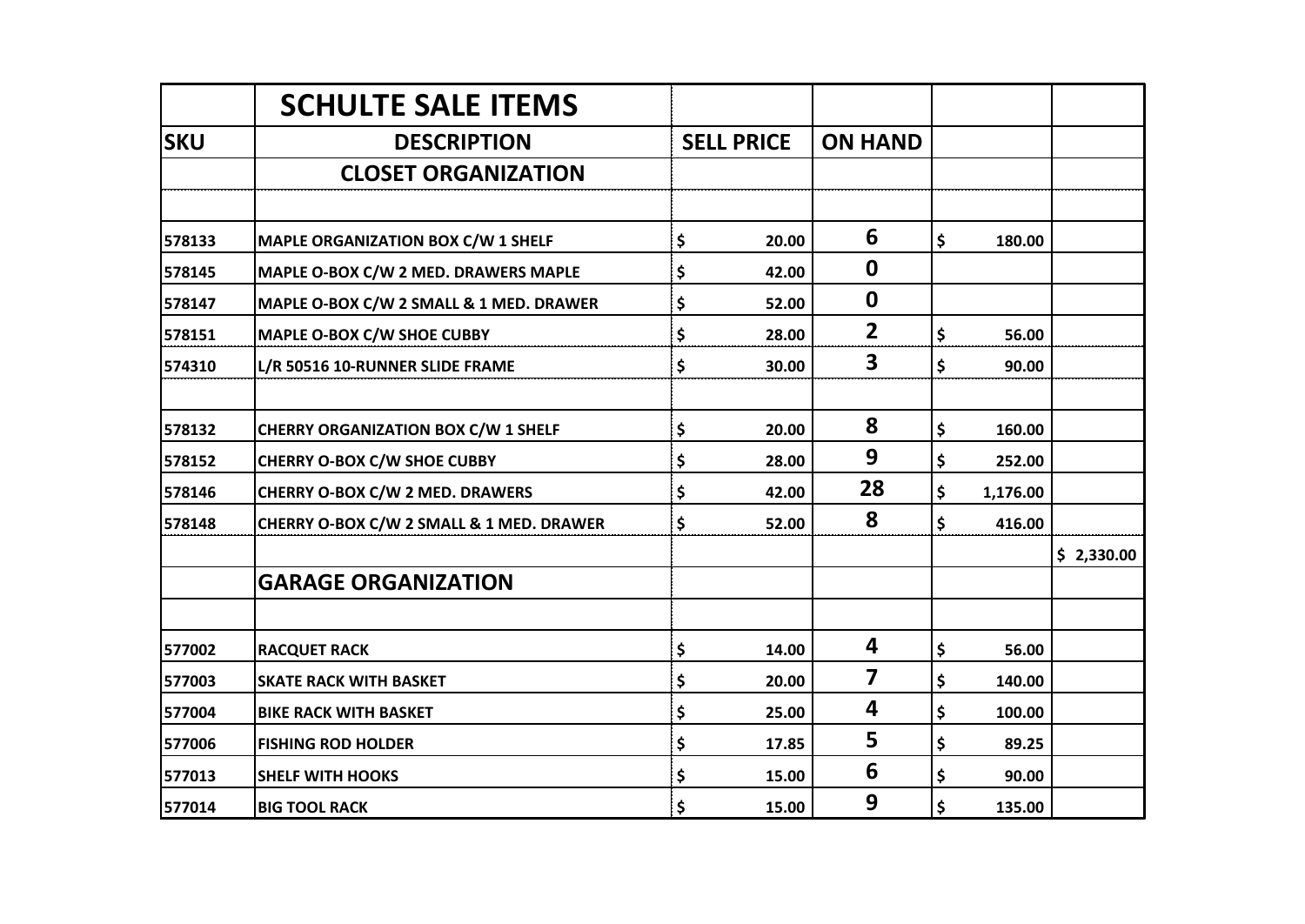|            | <b>SCHULTE SALE ITEMS</b>                  |                   |                         |                |            |
|------------|--------------------------------------------|-------------------|-------------------------|----------------|------------|
| <b>SKU</b> | <b>DESCRIPTION</b>                         | <b>SELL PRICE</b> | <b>ON HAND</b>          |                |            |
|            | <b>CLOSET ORGANIZATION</b>                 |                   |                         |                |            |
|            |                                            |                   |                         |                |            |
| 578133     | MAPLE ORGANIZATION BOX C/W 1 SHELF         | \$<br>20.00       | 6                       | \$<br>180.00   |            |
| 578145     | MAPLE O-BOX C/W 2 MED. DRAWERS MAPLE       | \$<br>42.00       | $\boldsymbol{0}$        |                |            |
| 578147     | MAPLE O-BOX C/W 2 SMALL & 1 MED. DRAWER    | \$<br>52.00       | $\boldsymbol{0}$        |                |            |
| 578151     | MAPLE O-BOX C/W SHOE CUBBY                 | \$<br>28.00       | $\overline{2}$          | \$<br>56.00    |            |
| 574310     | L/R 50516 10-RUNNER SLIDE FRAME            | \$<br>30.00       | 3                       | \$<br>90.00    |            |
|            |                                            |                   |                         |                |            |
| 578132     | <b>CHERRY ORGANIZATION BOX C/W 1 SHELF</b> | \$<br>20.00       | 8                       | \$<br>160.00   |            |
| 578152     | <b>CHERRY O-BOX C/W SHOE CUBBY</b>         | \$<br>28.00       | 9                       | \$<br>252.00   |            |
| 578146     | <b>CHERRY O-BOX C/W 2 MED. DRAWERS</b>     | \$<br>42.00       | 28                      | \$<br>1,176.00 |            |
| 578148     | CHERRY O-BOX C/W 2 SMALL & 1 MED. DRAWER   | \$<br>52.00       | 8                       | \$<br>416.00   |            |
|            |                                            |                   |                         |                | \$2,330.00 |
|            | <b>GARAGE ORGANIZATION</b>                 |                   |                         |                |            |
|            |                                            |                   |                         |                |            |
| 577002     | <b>RACQUET RACK</b>                        | \$<br>14.00       | 4                       | \$<br>56.00    |            |
| 577003     | <b>SKATE RACK WITH BASKET</b>              | \$<br>20.00       | $\overline{\mathbf{z}}$ | \$<br>140.00   |            |
| 577004     | <b>BIKE RACK WITH BASKET</b>               | \$<br>25.00       | 4                       | \$<br>100.00   |            |
| 577006     | <b>FISHING ROD HOLDER</b>                  | \$<br>17.85       | 5                       | \$<br>89.25    |            |
| 577013     | <b>SHELF WITH HOOKS</b>                    | \$<br>15.00       | 6                       | \$<br>90.00    |            |
| 577014     | <b>BIG TOOL RACK</b>                       | \$<br>15.00       | 9                       | \$<br>135.00   |            |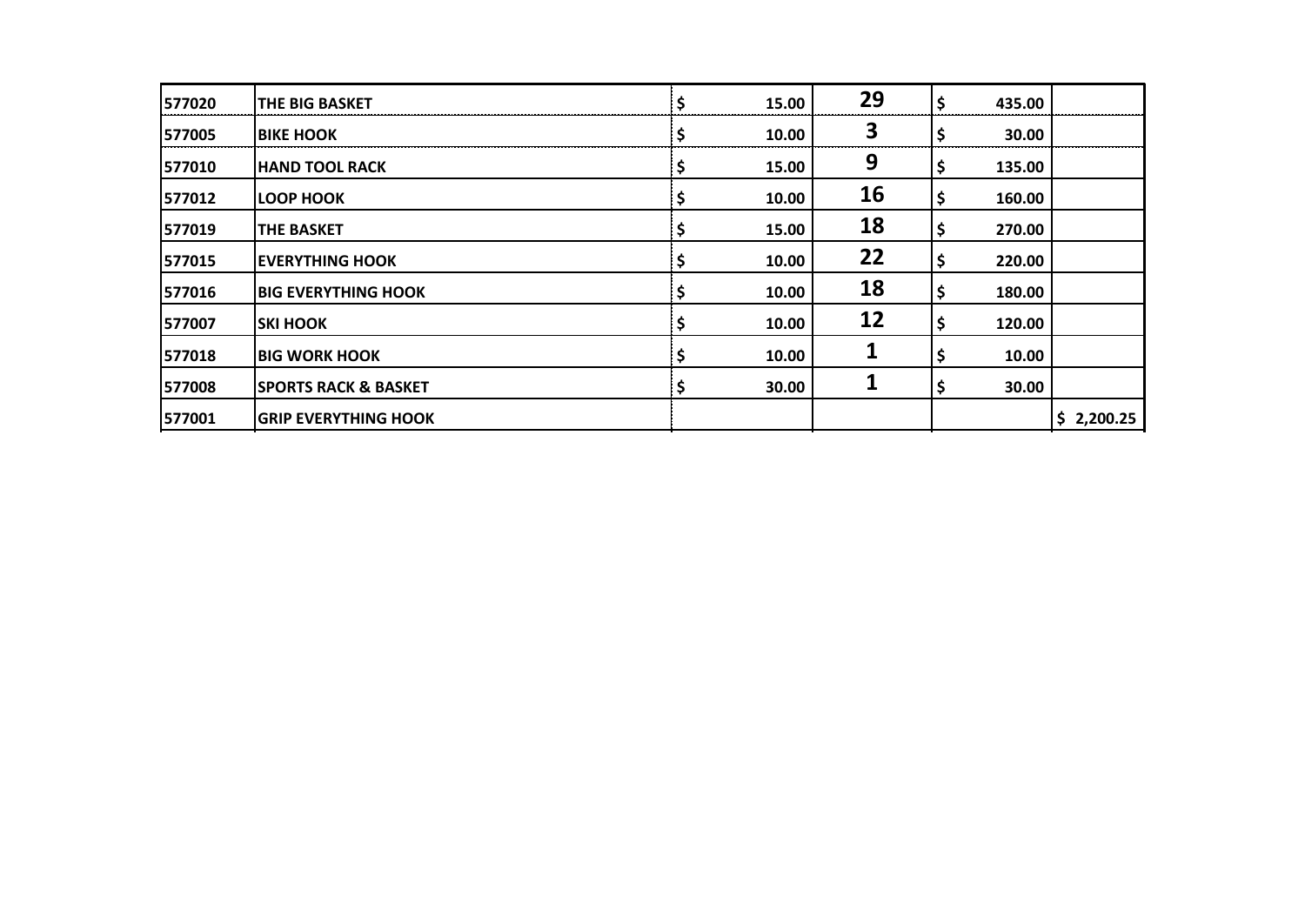| 577020  | <b>THE BIG BASKET</b>           | \$ | 15.00 | 29 | \$ | 435.00 |            |
|---------|---------------------------------|----|-------|----|----|--------|------------|
| 577005  | <b>BIKE HOOK</b>                | \$ | 10.00 | 3  |    | 30.00  |            |
| 577010  | <b>HAND TOOL RACK</b>           |    | 15.00 | 9  | Ş  | 135.00 |            |
| 577012  | <b>LOOP HOOK</b>                |    | 10.00 | 16 | Ş  | 160.00 |            |
| 577019  | <b>THE BASKET</b>               | \$ | 15.00 | 18 | \$ | 270.00 |            |
| 577015  | <b>EVERYTHING HOOK</b>          | Ş  | 10.00 | 22 | \$ | 220.00 |            |
| 577016  | <b>IBIG EVERYTHING HOOK</b>     |    | 10.00 | 18 | \$ | 180.00 |            |
| 1577007 | ISKI HOOK                       |    | 10.00 | 12 | \$ | 120.00 |            |
| 577018  | <b>IBIG WORK HOOK</b>           |    | 10.00 | 1  |    | 10.00  |            |
| 577008  | <b>SPORTS RACK &amp; BASKET</b> | Ş  | 30.00 | 1  | Ş  | 30.00  |            |
| 577001  | <b>GRIP EVERYTHING HOOK</b>     |    |       |    |    |        | \$2,200.25 |